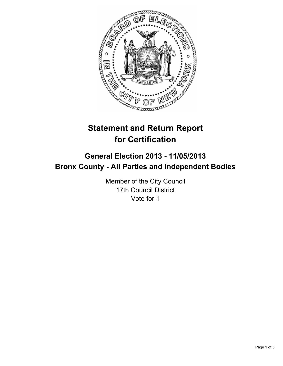

# **Statement and Return Report for Certification**

## **General Election 2013 - 11/05/2013 Bronx County - All Parties and Independent Bodies**

Member of the City Council 17th Council District Vote for 1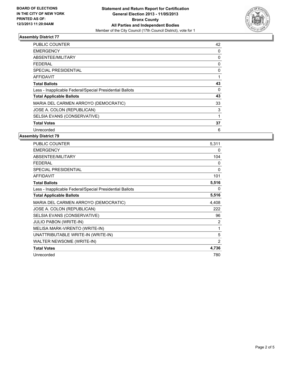

#### **Assembly District 77**

| PUBLIC COUNTER                                           | 42 |
|----------------------------------------------------------|----|
| <b>EMERGENCY</b>                                         | 0  |
| ABSENTEE/MILITARY                                        | 0  |
| FEDERAL                                                  | 0  |
| SPECIAL PRESIDENTIAL                                     | 0  |
| AFFIDAVIT                                                |    |
| <b>Total Ballots</b>                                     | 43 |
| Less - Inapplicable Federal/Special Presidential Ballots | 0  |
| <b>Total Applicable Ballots</b>                          | 43 |
| MARIA DEL CARMEN ARROYO (DEMOCRATIC)                     | 33 |
| JOSE A. COLON (REPUBLICAN)                               | 3  |
| SELSIA EVANS (CONSERVATIVE)                              |    |
| <b>Total Votes</b>                                       | 37 |
| Unrecorded                                               | 6  |

#### **Assembly District 79**

| <b>PUBLIC COUNTER</b>                                    | 5.311          |
|----------------------------------------------------------|----------------|
| <b>EMERGENCY</b>                                         | 0              |
| ABSENTEE/MILITARY                                        | 104            |
| <b>FEDERAL</b>                                           | 0              |
| <b>SPECIAL PRESIDENTIAL</b>                              | 0              |
| <b>AFFIDAVIT</b>                                         | 101            |
| <b>Total Ballots</b>                                     | 5,516          |
| Less - Inapplicable Federal/Special Presidential Ballots | 0              |
| <b>Total Applicable Ballots</b>                          | 5,516          |
| MARIA DEL CARMEN ARROYO (DEMOCRATIC)                     | 4,408          |
| JOSE A. COLON (REPUBLICAN)                               | 222            |
| SELSIA EVANS (CONSERVATIVE)                              | 96             |
| <b>JULIO PABON (WRITE-IN)</b>                            | 2              |
| MELISA MARK-VIRENTO (WRITE-IN)                           | 1              |
| UNATTRIBUTABLE WRITE-IN (WRITE-IN)                       | 5              |
| WALTER NEWSOME (WRITE-IN)                                | $\overline{2}$ |
| <b>Total Votes</b>                                       | 4,736          |
| Unrecorded                                               | 780            |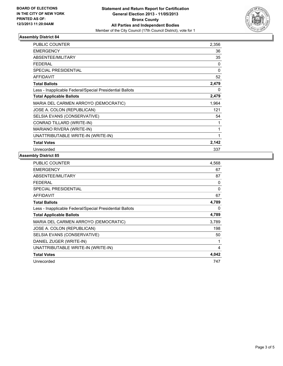

#### **Assembly District 84**

| <b>PUBLIC COUNTER</b>                                    | 2,356    |
|----------------------------------------------------------|----------|
| <b>EMERGENCY</b>                                         | 36       |
| <b>ABSENTEE/MILITARY</b>                                 | 35       |
| <b>FEDERAL</b>                                           | 0        |
| <b>SPECIAL PRESIDENTIAL</b>                              | $\Omega$ |
| <b>AFFIDAVIT</b>                                         | 52       |
| <b>Total Ballots</b>                                     | 2,479    |
| Less - Inapplicable Federal/Special Presidential Ballots | 0        |
| <b>Total Applicable Ballots</b>                          | 2,479    |
| MARIA DEL CARMEN ARROYO (DEMOCRATIC)                     | 1,964    |
| JOSE A. COLON (REPUBLICAN)                               | 121      |
| SELSIA EVANS (CONSERVATIVE)                              | 54       |
| CONRAD TILLARD (WRITE-IN)                                | 1        |
| MARIANO RIVERA (WRITE-IN)                                | 1        |
| UNATTRIBUTABLE WRITE-IN (WRITE-IN)                       | 1        |
| <b>Total Votes</b>                                       | 2,142    |
| Unrecorded                                               | 337      |

### **Assembly District 85**

| <b>PUBLIC COUNTER</b>                                    | 4,568 |
|----------------------------------------------------------|-------|
| <b>EMERGENCY</b>                                         | 67    |
| <b>ABSENTEE/MILITARY</b>                                 | 87    |
| FEDERAL                                                  | 0     |
| <b>SPECIAL PRESIDENTIAL</b>                              | 0     |
| <b>AFFIDAVIT</b>                                         | 67    |
| <b>Total Ballots</b>                                     | 4,789 |
| Less - Inapplicable Federal/Special Presidential Ballots | 0     |
| <b>Total Applicable Ballots</b>                          | 4,789 |
| MARIA DEL CARMEN ARROYO (DEMOCRATIC)                     | 3,789 |
| JOSE A. COLON (REPUBLICAN)                               | 198   |
| SELSIA EVANS (CONSERVATIVE)                              | 50    |
| DANIEL ZUGER (WRITE-IN)                                  | 1     |
| UNATTRIBUTABLE WRITE-IN (WRITE-IN)                       | 4     |
| <b>Total Votes</b>                                       | 4,042 |
| Unrecorded                                               | 747   |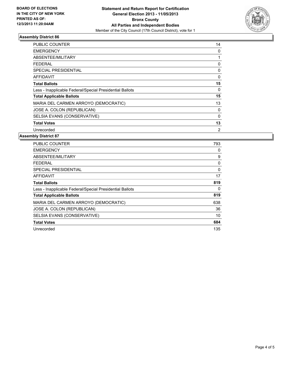

#### **Assembly District 86**

| <b>PUBLIC COUNTER</b>                                    | 14             |
|----------------------------------------------------------|----------------|
| <b>EMERGENCY</b>                                         | 0              |
| ABSENTEE/MILITARY                                        |                |
| FEDERAL                                                  | 0              |
| SPECIAL PRESIDENTIAL                                     | 0              |
| AFFIDAVIT                                                | 0              |
| <b>Total Ballots</b>                                     | 15             |
| Less - Inapplicable Federal/Special Presidential Ballots | 0              |
| <b>Total Applicable Ballots</b>                          | 15             |
| MARIA DEL CARMEN ARROYO (DEMOCRATIC)                     | 13             |
| JOSE A. COLON (REPUBLICAN)                               | 0              |
| SELSIA EVANS (CONSERVATIVE)                              | $\Omega$       |
| <b>Total Votes</b>                                       | 13             |
| Unrecorded                                               | $\overline{2}$ |

#### **Assembly District 87**

| PUBLIC COUNTER                                           | 793      |
|----------------------------------------------------------|----------|
| <b>EMERGENCY</b>                                         | 0        |
| ABSENTEE/MILITARY                                        | 9        |
| <b>FEDERAL</b>                                           | 0        |
| <b>SPECIAL PRESIDENTIAL</b>                              | $\Omega$ |
| <b>AFFIDAVIT</b>                                         | 17       |
| <b>Total Ballots</b>                                     | 819      |
| Less - Inapplicable Federal/Special Presidential Ballots | 0        |
| <b>Total Applicable Ballots</b>                          | 819      |
| MARIA DEL CARMEN ARROYO (DEMOCRATIC)                     | 638      |
| JOSE A. COLON (REPUBLICAN)                               | 36       |
| SELSIA EVANS (CONSERVATIVE)                              | 10       |
| <b>Total Votes</b>                                       | 684      |
| Unrecorded                                               | 135      |